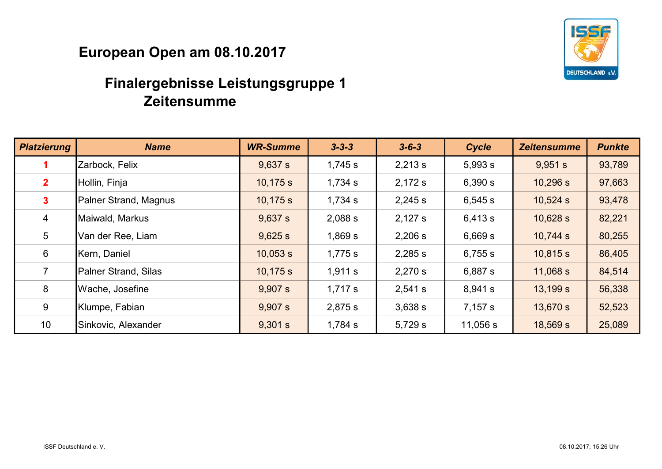

| <b>Platzierung</b> | <b>Name</b>           | <b>WR-Summe</b> | $3 - 3 - 3$ | $3 - 6 - 3$ | Cycle    | <b>Zeitensumme</b> | <b>Punkte</b> |
|--------------------|-----------------------|-----------------|-------------|-------------|----------|--------------------|---------------|
|                    | Zarbock, Felix        | 9,637 s         | 1,745 s     | 2,213 s     | 5,993 s  | 9,951 s            | 93,789        |
| 2 <sup>1</sup>     | Hollin, Finja         | 10,175 s        | 1,734 s     | 2,172 s     | 6,390 s  | 10,296 s           | 97,663        |
| 3 <sup>1</sup>     | Palner Strand, Magnus | 10,175 s        | 1,734 s     | 2,245 s     | 6,545 s  | 10,524 s           | 93,478        |
| $\overline{4}$     | Maiwald, Markus       | 9,637 s         | 2,088 s     | 2,127 s     | 6,413 s  | 10,628 s           | 82,221        |
| 5 <sup>5</sup>     | Van der Ree, Liam     | 9,625 s         | 1,869 s     | 2,206 s     | 6,669 s  | 10,744 s           | 80,255        |
| $6\overline{6}$    | Kern, Daniel          | 10,053 s        | 1,775 s     | 2,285 s     | 6,755 s  | 10,815 s           | 86,405        |
| $\overline{7}$     | Palner Strand, Silas  | 10,175 s        | 1,911 s     | 2,270 s     | 6,887 s  | 11,068 s           | 84,514        |
| 8                  | Wache, Josefine       | 9,907 s         | 1,717 s     | 2,541 s     | 8,941 s  | 13,199 s           | 56,338        |
| 9                  | Klumpe, Fabian        | 9,907 s         | 2,875 s     | 3,638 s     | 7,157 s  | 13,670 s           | 52,523        |
| 10                 | Sinkovic, Alexander   | 9,301 s         | $1,784$ s   | 5,729 s     | 11,056 s | 18,569 s           | 25,089        |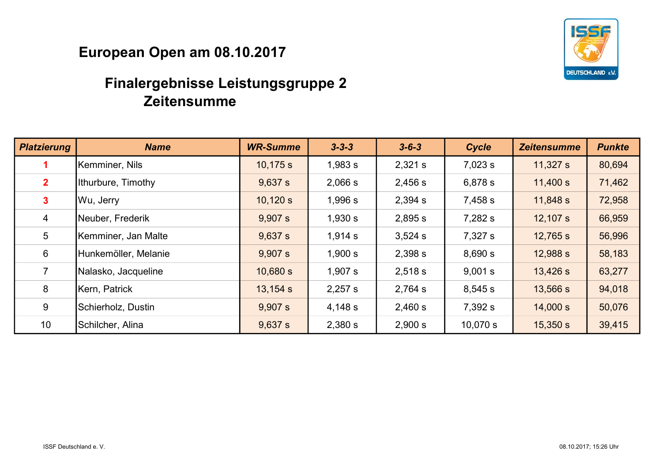

| <b>Platzierung</b> | <b>Name</b>          | <b>WR-Summe</b> | $3 - 3 - 3$ | $3 - 6 - 3$ | Cycle    | <b>Zeitensumme</b> | <b>Punkte</b> |
|--------------------|----------------------|-----------------|-------------|-------------|----------|--------------------|---------------|
|                    | Kemminer, Nils       | 10,175 s        | 1,983 s     | 2,321 s     | 7,023 s  | 11,327 s           | 80,694        |
| 2 <sup>1</sup>     | Ithurbure, Timothy   | 9,637 s         | 2,066 s     | 2,456 s     | 6,878 s  | 11,400 s           | 71,462        |
| $\mathbf{3}$       | Wu, Jerry            | 10,120 s        | 1,996 s     | 2,394 s     | 7,458 s  | 11,848 s           | 72,958        |
| $\overline{4}$     | Neuber, Frederik     | 9,907 s         | 1,930 s     | 2,895 s     | 7,282 s  | 12,107 s           | 66,959        |
| $5\overline{)}$    | Kemminer, Jan Malte  | 9,637 s         | 1,914 s     | 3,524 s     | 7,327 s  | 12,765 s           | 56,996        |
| $6\phantom{1}$     | Hunkemöller, Melanie | 9,907 s         | 1,900 s     | 2,398 s     | 8,690 s  | 12,988 s           | 58,183        |
| $\overline{7}$     | Nalasko, Jacqueline  | 10,680 s        | 1,907 s     | 2,518 s     | 9,001 s  | 13,426 s           | 63,277        |
| 8                  | Kern, Patrick        | 13,154 s        | 2,257 s     | 2,764 s     | 8,545 s  | 13,566 s           | 94,018        |
| 9                  | Schierholz, Dustin   | 9,907 s         | 4,148 s     | 2,460 s     | 7,392 s  | 14,000 s           | 50,076        |
| 10                 | Schilcher, Alina     | 9,637 s         | 2,380 s     | 2,900 s     | 10,070 s | 15,350 s           | 39,415        |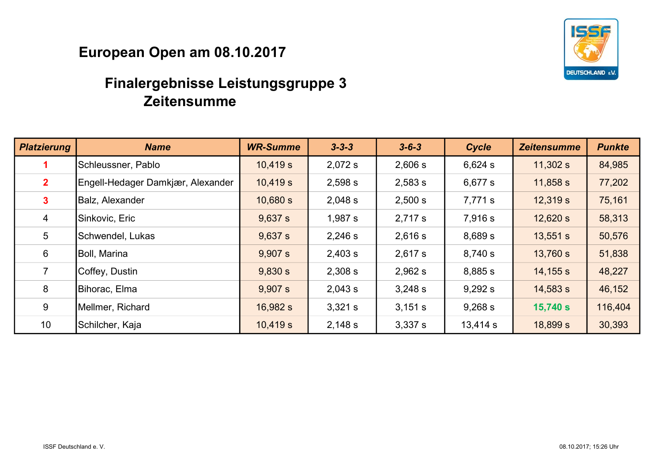

| <b>Platzierung</b> | <b>Name</b>                       | <b>WR-Summe</b> | $3 - 3 - 3$ | $3 - 6 - 3$ | Cycle    | <b>Zeitensumme</b> | <b>Punkte</b> |
|--------------------|-----------------------------------|-----------------|-------------|-------------|----------|--------------------|---------------|
|                    | Schleussner, Pablo                | 10,419 s        | 2,072 s     | 2,606 s     | 6,624 s  | 11,302 s           | 84,985        |
| 2 <sup>1</sup>     | Engell-Hedager Damkjær, Alexander | 10,419 s        | 2,598 s     | 2,583 s     | 6,677 s  | 11,858 s           | 77,202        |
| 3 <sup>1</sup>     | Balz, Alexander                   | 10,680 s        | 2,048 s     | 2,500 s     | 7,771 s  | 12,319 s           | 75,161        |
| $\overline{4}$     | Sinkovic, Eric                    | 9,637 s         | 1,987 s     | 2,717 s     | 7,916 s  | 12,620 s           | 58,313        |
| 5                  | Schwendel, Lukas                  | 9,637 s         | 2,246 s     | 2,616 s     | 8,689 s  | 13,551 s           | 50,576        |
| 6                  | Boll, Marina                      | 9,907 s         | 2,403 s     | 2,617 s     | 8,740 s  | 13,760 s           | 51,838        |
| $\overline{7}$     | Coffey, Dustin                    | 9,830 s         | 2,308 s     | 2,962 s     | 8,885 s  | 14,155 s           | 48,227        |
| 8                  | Bihorac, Elma                     | 9,907 s         | 2,043 s     | 3,248 s     | 9,292 s  | 14,583 s           | 46,152        |
| 9                  | Mellmer, Richard                  | 16,982 s        | 3,321 s     | 3,151 s     | 9,268 s  | 15,740 s           | 116,404       |
| 10                 | Schilcher, Kaja                   | 10,419 s        | 2,148 s     | 3,337 s     | 13,414 s | 18,899 s           | 30,393        |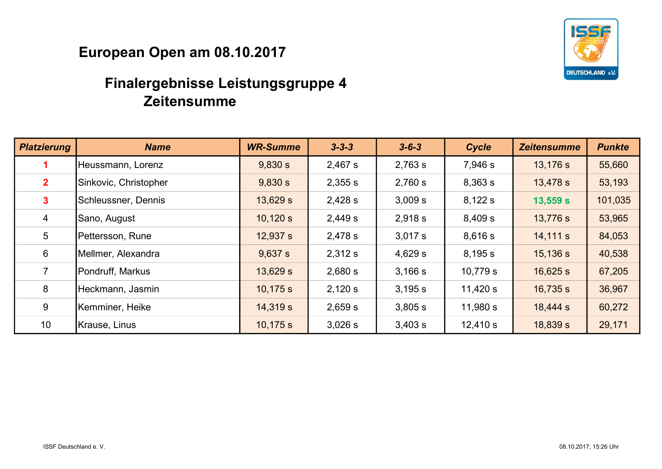

| <b>Platzierung</b> | <b>Name</b>           | <b>WR-Summe</b> | $3 - 3 - 3$ | $3 - 6 - 3$ | Cycle      | <b>Zeitensumme</b> | <b>Punkte</b> |
|--------------------|-----------------------|-----------------|-------------|-------------|------------|--------------------|---------------|
|                    | Heussmann, Lorenz     | 9,830 s         | 2,467 s     | 2,763 s     | 7,946 s    | 13,176 s           | 55,660        |
| 2 <sup>1</sup>     | Sinkovic, Christopher | 9,830 s         | 2,355 s     | 2,760 s     | 8,363 s    | 13,478 s           | 53,193        |
| 3 <sup>1</sup>     | Schleussner, Dennis   | 13,629 s        | 2,428 s     | 3,009 s     | 8,122 s    | 13,559 s           | 101,035       |
| $\overline{4}$     | Sano, August          | 10,120 s        | 2,449 s     | 2,918 s     | 8,409 s    | 13,776 s           | 53,965        |
| 5                  | Pettersson, Rune      | 12,937 s        | 2,478 s     | 3.017 s     | 8,616 s    | 14,111 s           | 84,053        |
| 6                  | Mellmer, Alexandra    | 9,637 s         | 2,312 s     | 4,629 s     | 8,195 s    | 15,136 s           | 40,538        |
| $\overline{7}$     | Pondruff, Markus      | 13,629 s        | 2,680 s     | 3,166 s     | 10,779 s   | 16,625 s           | 67,205        |
| 8                  | Heckmann, Jasmin      | 10,175 s        | 2,120 s     | 3,195 s     | 11,420 $s$ | 16,735 s           | 36,967        |
| 9                  | Kemminer, Heike       | 14,319 s        | 2,659 s     | 3,805 s     | 11,980 s   | 18,444 s           | 60,272        |
| 10                 | Krause, Linus         | 10,175 s        | 3,026 s     | 3,403 s     | 12,410 s   | 18,839 s           | 29,171        |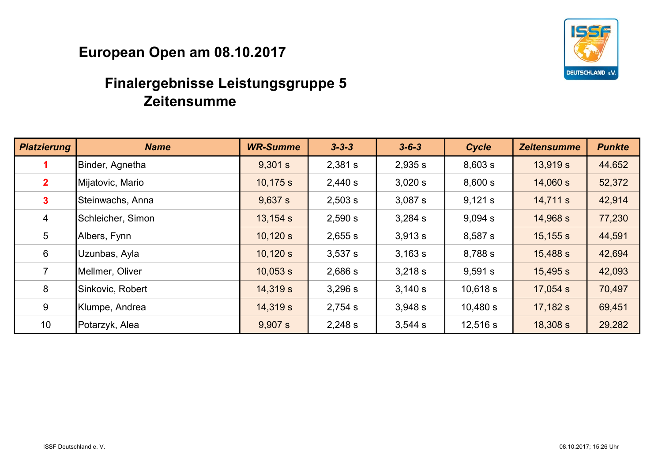

| <b>Platzierung</b> | <b>Name</b>       | <b>WR-Summe</b> | $3 - 3 - 3$ | $3 - 6 - 3$ | Cycle    | <b>Zeitensumme</b> | <b>Punkte</b> |
|--------------------|-------------------|-----------------|-------------|-------------|----------|--------------------|---------------|
|                    | Binder, Agnetha   | 9,301 s         | 2,381 s     | 2,935 s     | 8,603 s  | 13,919 s           | 44,652        |
| 2 <sup>1</sup>     | Mijatovic, Mario  | 10,175 s        | 2,440 s     | 3,020 s     | 8,600 s  | 14,060 s           | 52,372        |
| 3 <sup>1</sup>     | Steinwachs, Anna  | 9,637 s         | 2,503 s     | 3,087 s     | 9,121 s  | 14,711 s           | 42,914        |
| $\overline{4}$     | Schleicher, Simon | 13,154 s        | 2,590 s     | 3,284 s     | 9,094 s  | 14,968 s           | 77,230        |
| $5\overline{)}$    | Albers, Fynn      | 10,120 s        | 2,655 s     | 3,913 s     | 8,587 s  | 15,155 s           | 44,591        |
| 6                  | Uzunbas, Ayla     | 10,120 s        | 3,537 s     | 3,163 s     | 8,788 s  | 15,488 s           | 42,694        |
| $\overline{7}$     | Mellmer, Oliver   | 10,053 s        | 2,686 s     | 3,218 s     | 9,591 s  | 15,495 s           | 42,093        |
| 8                  | Sinkovic, Robert  | 14,319 s        | 3,296 s     | 3,140 s     | 10,618 s | 17,054 s           | 70,497        |
| 9                  | Klumpe, Andrea    | 14,319 s        | 2,754 s     | 3,948 s     | 10,480 s | 17,182 s           | 69,451        |
| 10                 | Potarzyk, Alea    | 9,907 s         | 2,248 s     | 3,544 s     | 12,516 s | 18,308 s           | 29,282        |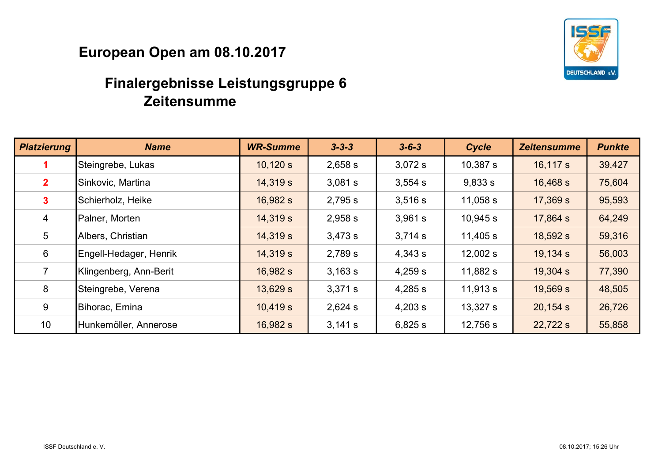

| <b>Platzierung</b> | <b>Name</b>            | <b>WR-Summe</b> | $3 - 3 - 3$ | $3 - 6 - 3$ | Cycle      | <b>Zeitensumme</b> | <b>Punkte</b> |
|--------------------|------------------------|-----------------|-------------|-------------|------------|--------------------|---------------|
|                    | Steingrebe, Lukas      | 10,120 s        | 2,658 s     | 3,072 s     | $10,387$ s | 16,117 s           | 39,427        |
| 2 <sup>1</sup>     | Sinkovic, Martina      | 14,319 s        | 3,081 s     | 3,554 s     | 9,833 s    | 16,468 s           | 75,604        |
| 3 <sup>1</sup>     | Schierholz, Heike      | 16,982 s        | 2,795 s     | 3,516 s     | 11,058 s   | 17,369 s           | 95,593        |
| $\overline{4}$     | Palner, Morten         | 14,319 s        | 2,958 s     | 3,961 s     | 10,945 s   | 17,864 s           | 64,249        |
| 5                  | Albers, Christian      | 14,319 s        | 3,473 s     | 3,714 s     | 11,405 s   | 18,592 s           | 59,316        |
| $6\phantom{1}$     | Engell-Hedager, Henrik | 14,319 s        | 2,789 s     | 4,343 s     | 12,002 s   | 19,134 s           | 56,003        |
| $\overline{7}$     | Klingenberg, Ann-Berit | 16,982 s        | 3,163 s     | 4,259 s     | 11,882 s   | 19,304 s           | 77,390        |
| 8                  | Steingrebe, Verena     | 13,629 s        | 3,371 s     | 4,285 s     | 11,913 s   | 19,569 s           | 48,505        |
| 9                  | Bihorac, Emina         | 10,419 s        | 2,624 s     | 4,203 s     | 13,327 s   | 20,154 s           | 26,726        |
| 10                 | Hunkemöller, Annerose  | 16,982 s        | 3,141 s     | 6,825 s     | 12,756 s   | 22,722 s           | 55,858        |